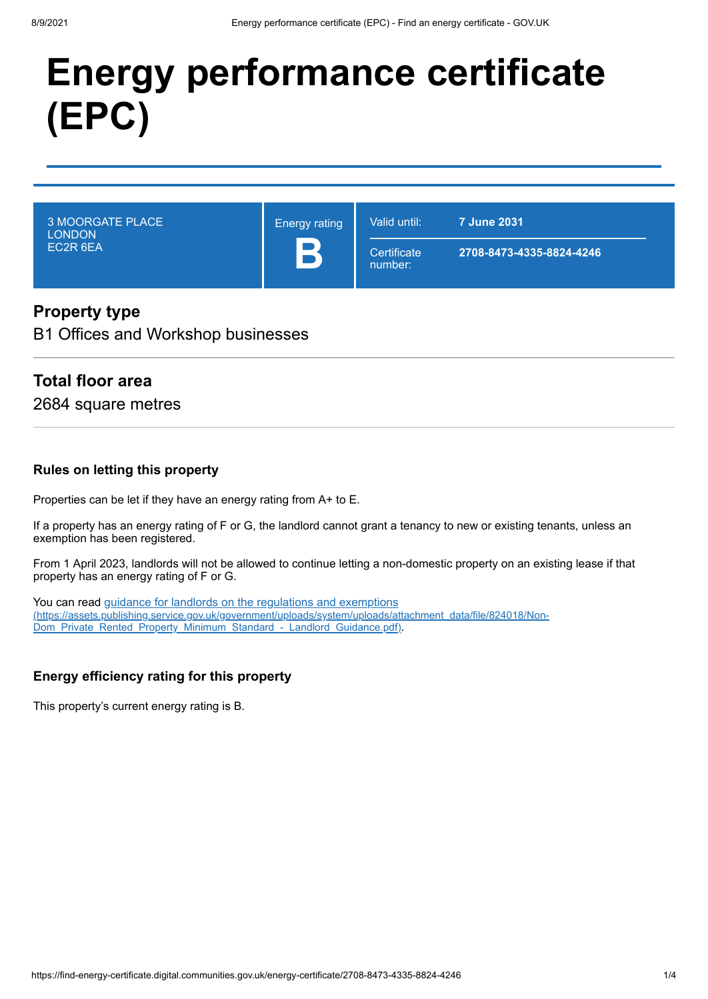# **Energy performance certificate (EPC)**

3 MOORGATE PLACE LONDON EC2R 6EA

Energy rating **B**

**Certificate** number:

Valid until: **7 June 2031**

**2708-8473-4335-8824-4246**

# **Property type**

B1 Offices and Workshop businesses

# **Total floor area**

2684 square metres

#### **Rules on letting this property**

Properties can be let if they have an energy rating from A+ to E.

If a property has an energy rating of F or G, the landlord cannot grant a tenancy to new or existing tenants, unless an exemption has been registered.

From 1 April 2023, landlords will not be allowed to continue letting a non-domestic property on an existing lease if that property has an energy rating of F or G.

You can read guidance for landlords on the regulations and exemptions [\(https://assets.publishing.service.gov.uk/government/uploads/system/uploads/attachment\\_data/file/824018/Non-](https://assets.publishing.service.gov.uk/government/uploads/system/uploads/attachment_data/file/824018/Non-Dom_Private_Rented_Property_Minimum_Standard_-_Landlord_Guidance.pdf)Dom\_Private\_Rented\_Property\_Minimum\_Standard\_-\_Landlord\_Guidance.pdf).

## **Energy efficiency rating for this property**

This property's current energy rating is B.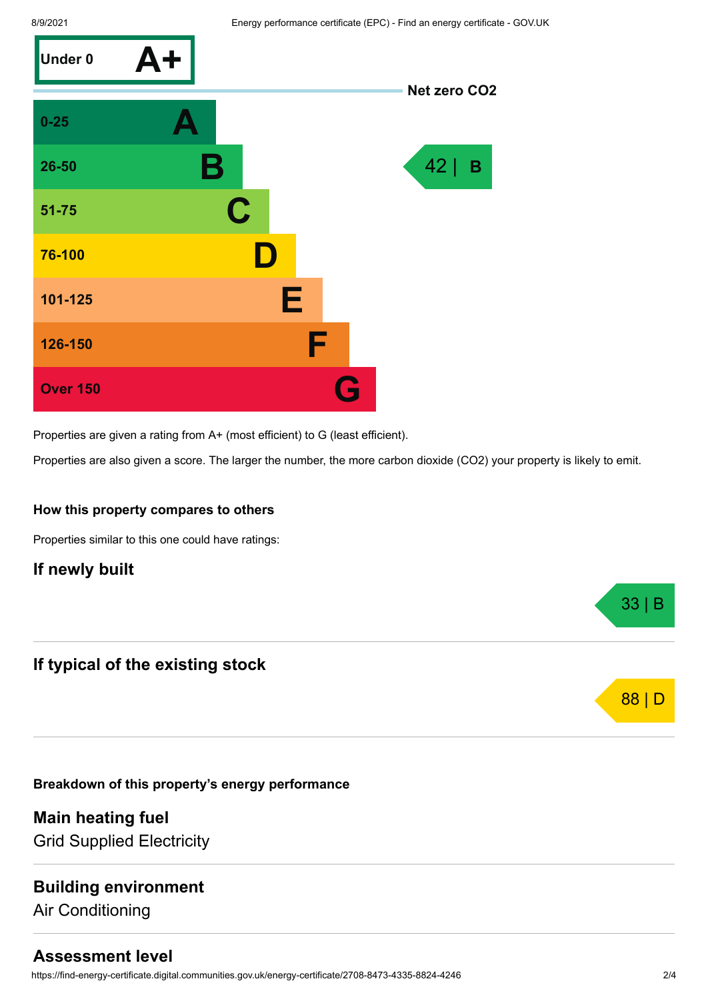

Properties are given a rating from A+ (most efficient) to G (least efficient).

Properties are also given a score. The larger the number, the more carbon dioxide (CO2) your property is likely to emit.

#### **How this property compares to others**

Properties similar to this one could have ratings:

## **If newly built**

## **If typical of the existing stock**

**Breakdown of this property's energy performance**

**Main heating fuel** Grid Supplied Electricity

## **Building environment**

Air Conditioning

# **Assessment level**

https://find-energy-certificate.digital.communities.gov.uk/energy-certificate/2708-8473-4335-8824-4246 2/4

33 | B

88 | D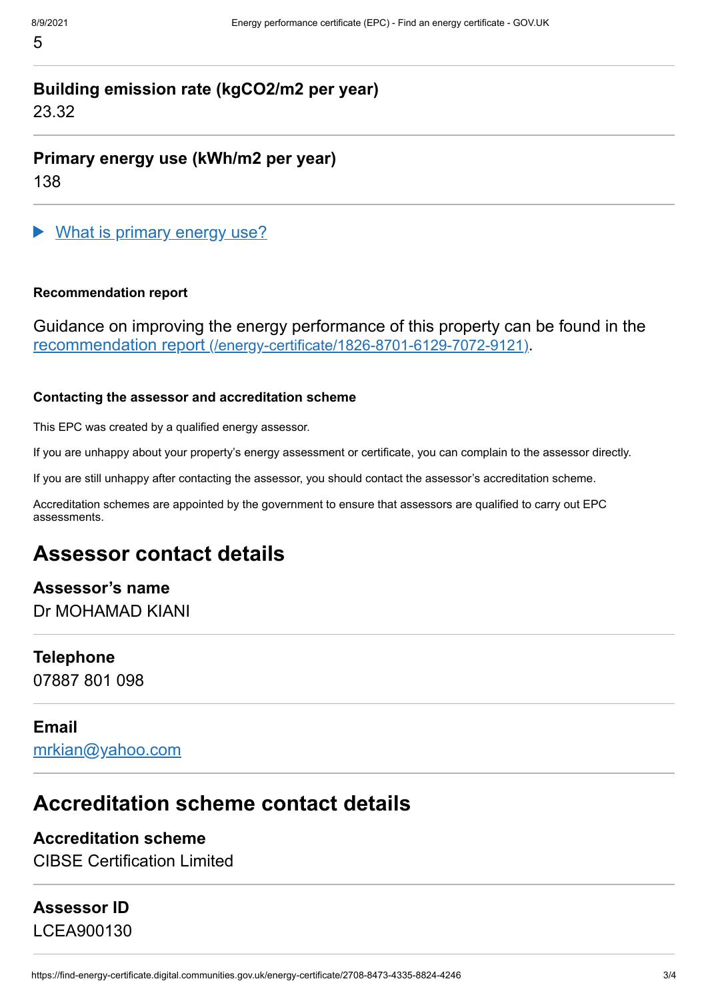# **Building emission rate (kgCO2/m2 per year)** 23.32

**Primary energy use (kWh/m2 per year)** 138

What is primary energy use?

# **Recommendation report**

Guidance on improving the energy performance of this property can be found in the recommendation report [\(/energy-certificate/1826-8701-6129-7072-9121\)](https://find-energy-certificate.digital.communities.gov.uk/energy-certificate/1826-8701-6129-7072-9121).

# **Contacting the assessor and accreditation scheme**

This EPC was created by a qualified energy assessor.

If you are unhappy about your property's energy assessment or certificate, you can complain to the assessor directly.

If you are still unhappy after contacting the assessor, you should contact the assessor's accreditation scheme.

Accreditation schemes are appointed by the government to ensure that assessors are qualified to carry out EPC assessments.

# **Assessor contact details**

**Assessor's name** Dr MOHAMAD KIANI

# **Telephone**

07887 801 098

# **Email**

[mrkian@yahoo.com](mailto:mrkian@yahoo.com)

# **Accreditation scheme contact details**

# **Accreditation scheme**

CIBSE Certification Limited

# **Assessor ID**

LCEA900130